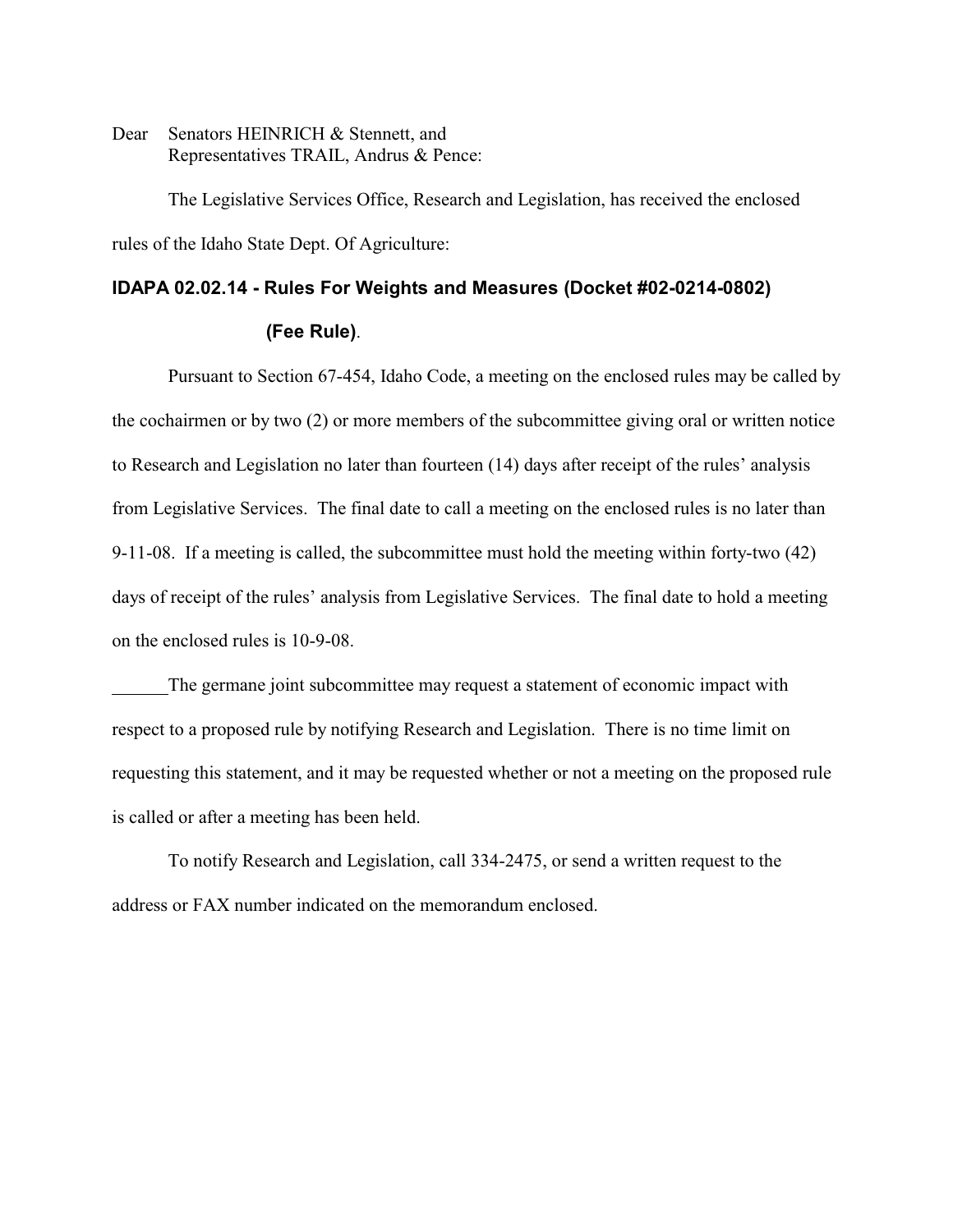Dear Senators HEINRICH & Stennett, and Representatives TRAIL, Andrus & Pence:

The Legislative Services Office, Research and Legislation, has received the enclosed rules of the Idaho State Dept. Of Agriculture:

### **IDAPA 02.02.14 - Rules For Weights and Measures (Docket #02-0214-0802)**

### **(Fee Rule)**.

Pursuant to Section 67-454, Idaho Code, a meeting on the enclosed rules may be called by the cochairmen or by two (2) or more members of the subcommittee giving oral or written notice to Research and Legislation no later than fourteen (14) days after receipt of the rules' analysis from Legislative Services. The final date to call a meeting on the enclosed rules is no later than 9-11-08. If a meeting is called, the subcommittee must hold the meeting within forty-two (42) days of receipt of the rules' analysis from Legislative Services. The final date to hold a meeting on the enclosed rules is 10-9-08.

The germane joint subcommittee may request a statement of economic impact with respect to a proposed rule by notifying Research and Legislation. There is no time limit on requesting this statement, and it may be requested whether or not a meeting on the proposed rule is called or after a meeting has been held.

To notify Research and Legislation, call 334-2475, or send a written request to the address or FAX number indicated on the memorandum enclosed.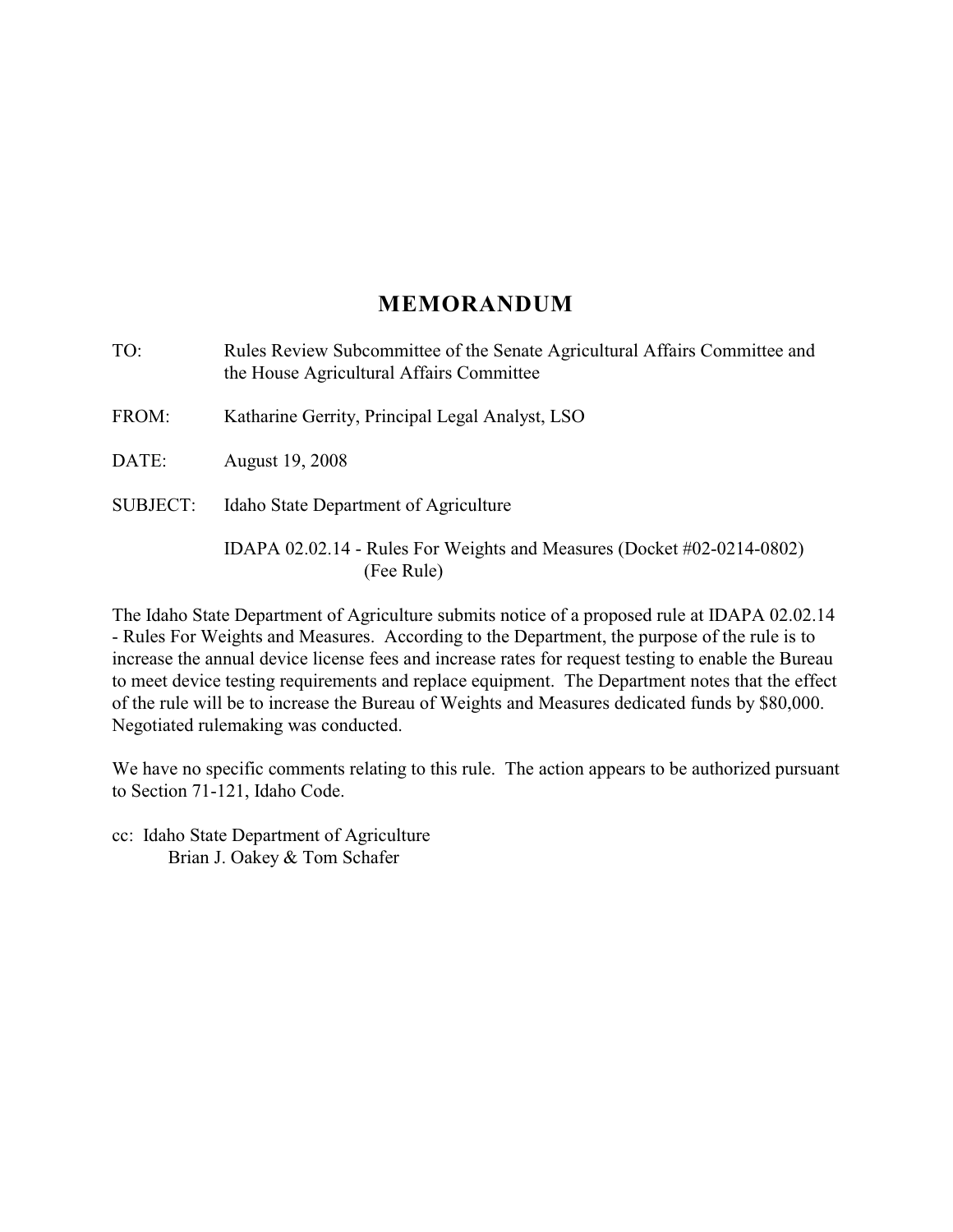# **MEMORANDUM**

TO: Rules Review Subcommittee of the Senate Agricultural Affairs Committee and the House Agricultural Affairs Committee FROM: Katharine Gerrity, Principal Legal Analyst, LSO DATE: August 19, 2008 SUBJECT: Idaho State Department of Agriculture IDAPA 02.02.14 - Rules For Weights and Measures (Docket #02-0214-0802)

(Fee Rule)

The Idaho State Department of Agriculture submits notice of a proposed rule at IDAPA 02.02.14 - Rules For Weights and Measures. According to the Department, the purpose of the rule is to increase the annual device license fees and increase rates for request testing to enable the Bureau to meet device testing requirements and replace equipment. The Department notes that the effect of the rule will be to increase the Bureau of Weights and Measures dedicated funds by \$80,000. Negotiated rulemaking was conducted.

We have no specific comments relating to this rule. The action appears to be authorized pursuant to Section 71-121, Idaho Code.

cc: Idaho State Department of Agriculture Brian J. Oakey & Tom Schafer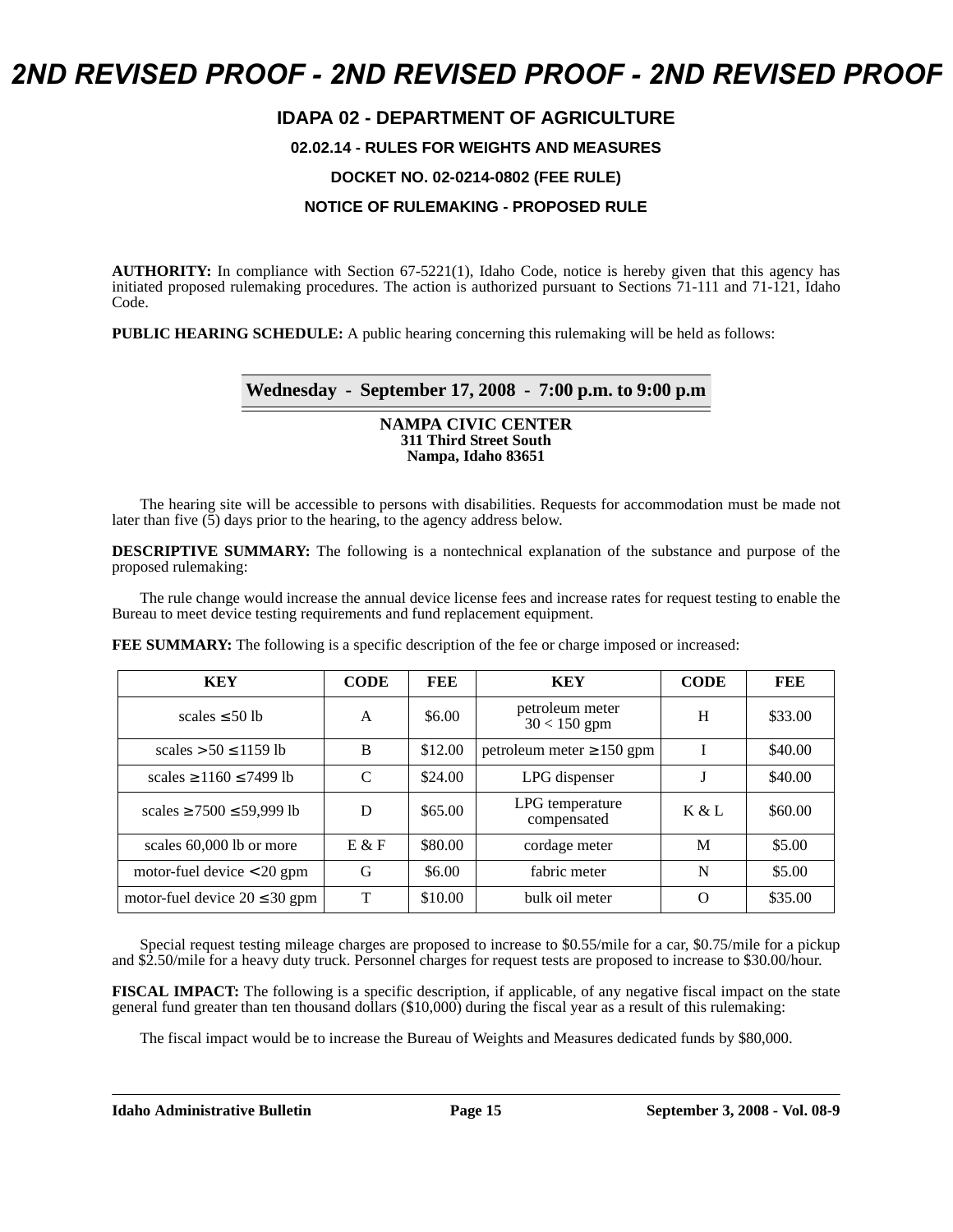# *2ND REVISED PROOF - 2ND REVISED PROOF - 2ND REVISED PROOF*

## **IDAPA 02 - DEPARTMENT OF AGRICULTURE**

#### **02.02.14 - RULES FOR WEIGHTS AND MEASURES**

### **DOCKET NO. 02-0214-0802 (FEE RULE)**

#### **NOTICE OF RULEMAKING - PROPOSED RULE**

**AUTHORITY:** In compliance with Section 67-5221(1), Idaho Code, notice is hereby given that this agency has initiated proposed rulemaking procedures. The action is authorized pursuant to Sections 71-111 and 71-121, Idaho Code.

**PUBLIC HEARING SCHEDULE:** A public hearing concerning this rulemaking will be held as follows:

### **Wednesday - September 17, 2008 - 7:00 p.m. to 9:00 p.m**

#### **NAMPA CIVIC CENTER 311 Third Street South Nampa, Idaho 83651**

The hearing site will be accessible to persons with disabilities. Requests for accommodation must be made not later than five  $(5)$  days prior to the hearing, to the agency address below.

**DESCRIPTIVE SUMMARY:** The following is a nontechnical explanation of the substance and purpose of the proposed rulemaking:

The rule change would increase the annual device license fees and increase rates for request testing to enable the Bureau to meet device testing requirements and fund replacement equipment.

**FEE SUMMARY:** The following is a specific description of the fee or charge imposed or increased:

| <b>KEY</b>                          | <b>CODE</b> | FEE     | <b>KEY</b>                        | <b>CODE</b> | FEE     |
|-------------------------------------|-------------|---------|-----------------------------------|-------------|---------|
| scales $\leq 50$ lb                 | A           | \$6.00  | petroleum meter<br>$30 < 150$ gpm | H           | \$33.00 |
| scales $> 50 \le 1159$ lb           | B           | \$12.00 | petroleum meter $\geq 150$ gpm    |             | \$40.00 |
| scales $\geq$ 1160 $\leq$ 7499 lb   | C           | \$24.00 | LPG dispenser                     |             | \$40.00 |
| scales $\geq$ 7500 $\leq$ 59,999 lb | D           | \$65.00 | LPG temperature<br>compensated    | K & L       | \$60.00 |
| scales 60,000 lb or more            | E & F       | \$80.00 | cordage meter                     | M           | \$5.00  |
| motor-fuel device $<$ 20 gpm        | G           | \$6.00  | fabric meter                      | N           | \$5.00  |
| motor-fuel device $20 \le 30$ gpm   | T           | \$10.00 | bulk oil meter                    | ∩           | \$35.00 |

Special request testing mileage charges are proposed to increase to \$0.55/mile for a car, \$0.75/mile for a pickup and \$2.50/mile for a heavy duty truck. Personnel charges for request tests are proposed to increase to \$30.00/hour.

**FISCAL IMPACT:** The following is a specific description, if applicable, of any negative fiscal impact on the state general fund greater than ten thousand dollars (\$10,000) during the fiscal year as a result of this rulemaking:

The fiscal impact would be to increase the Bureau of Weights and Measures dedicated funds by \$80,000.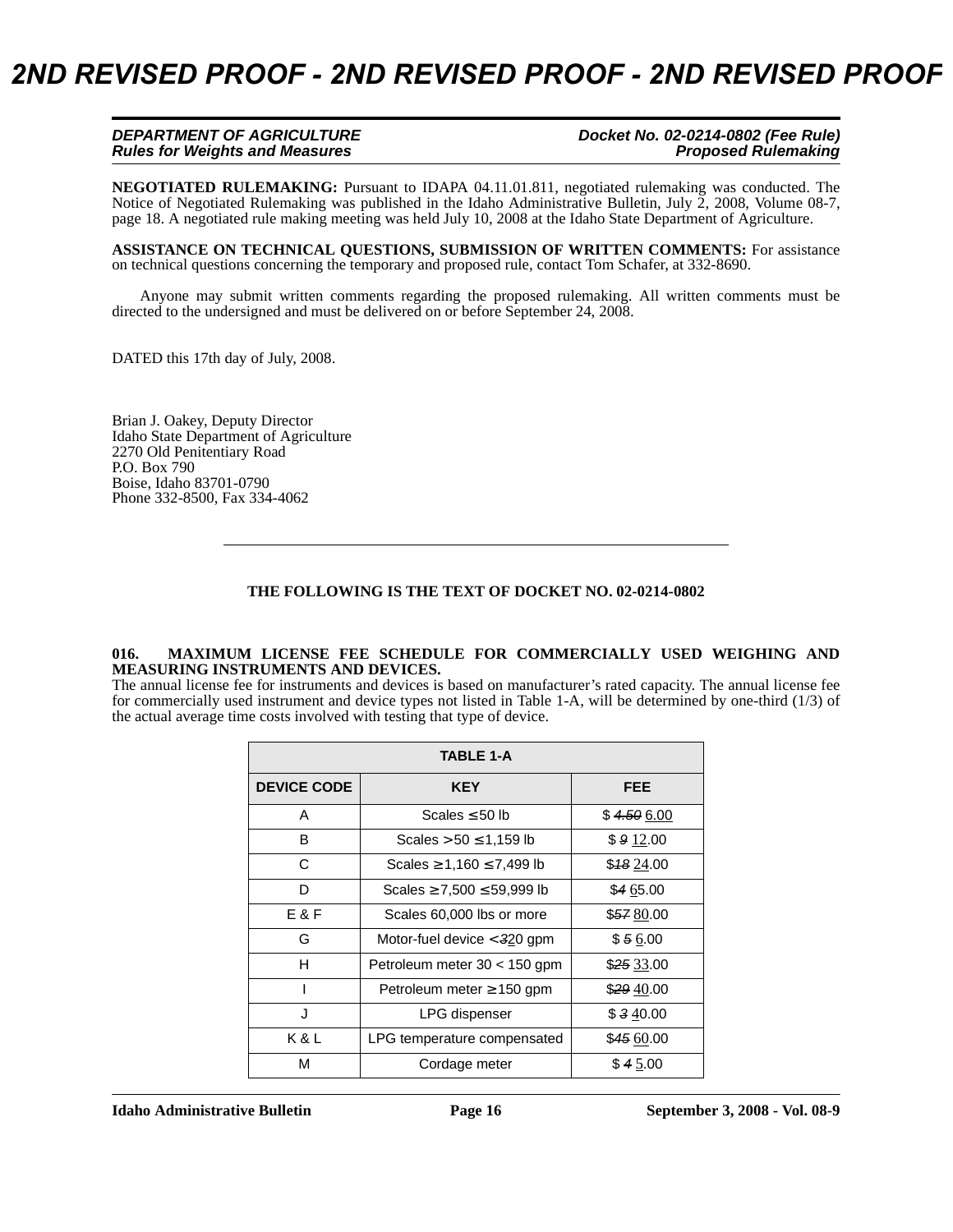| DEPARTMENT OF AGRICULTURE             | Docket No. 02-0214-0802 (Fee Rule) |
|---------------------------------------|------------------------------------|
| <b>Rules for Weights and Measures</b> | <b>Proposed Rulemaking</b>         |

**NEGOTIATED RULEMAKING:** [Pursuant to IDAPA 04.11.01.811, negotiated rulemaking was conducted. The](http://adm.idaho.gov/adminrules/bulletin/bul/08jul.pdf#P.18)  [Notice of Negotiated Rulemaking was published in the Idaho Administrative Bulletin, July 2, 2008, Volume 08-7,](http://adm.idaho.gov/adminrules/bulletin/bul/08jul.pdf#P.18) page 18. A negotiated rule making meeting was held July 10, 2008 at the Idaho State Department of Agriculture.

**ASSISTANCE ON TECHNICAL QUESTIONS, SUBMISSION OF WRITTEN COMMENTS:** For assistance on technical questions concerning the temporary and proposed rule, contact Tom Schafer, at 332-8690.

Anyone may submit written comments regarding the proposed rulemaking. All written comments must be directed to the undersigned and must be delivered on or before September 24, 2008.

DATED this 17th day of July, 2008.

Brian J. Oakey, Deputy Director Idaho State Department of Agriculture 2270 Old Penitentiary Road P.O. Box 790 Boise, Idaho 83701-0790 Phone 332-8500, Fax 334-4062

#### **THE FOLLOWING IS THE TEXT OF DOCKET NO. 02-0214-0802**

#### **016. MAXIMUM LICENSE FEE SCHEDULE FOR COMMERCIALLY USED WEIGHING AND MEASURING INSTRUMENTS AND DEVICES.**

The annual license fee for instruments and devices is based on manufacturer's rated capacity. The annual license fee for commercially used instrument and device types not listed in Table 1-A, will be determined by one-third (1/3) of the actual average time costs involved with testing that type of device.

| <b>TABLE 1-A</b>   |                                    |            |  |  |
|--------------------|------------------------------------|------------|--|--|
| <b>DEVICE CODE</b> | <b>KEY</b>                         | <b>FEE</b> |  |  |
| A                  | Scales $\leq 50$ lb                | \$4.506.00 |  |  |
| B                  | Scales $> 50 \le 1,159$ lb         | \$912.00   |  |  |
| C                  | Scales $\ge 1,160 \le 7,499$ lb    | \$4824.00  |  |  |
| D                  | Scales $\geq 7,500 \leq 59,999$ lb | \$465.00   |  |  |
| E&F                | Scales 60,000 lbs or more          | \$5780.00  |  |  |
| G                  | Motor-fuel device $<$ 320 gpm      | \$56.00    |  |  |
| н                  | Petroleum meter $30 < 150$ gpm     | \$25 33.00 |  |  |
|                    | Petroleum meter $\geq$ 150 gpm     | \$2940.00  |  |  |
| J                  | LPG dispenser                      | \$340.00   |  |  |
| K & L              | LPG temperature compensated        | \$45 60.00 |  |  |
| М                  | Cordage meter                      | \$45.00    |  |  |

**Idaho Administrative Bulletin Page 16 September 3, 2008 - Vol. 08-9**